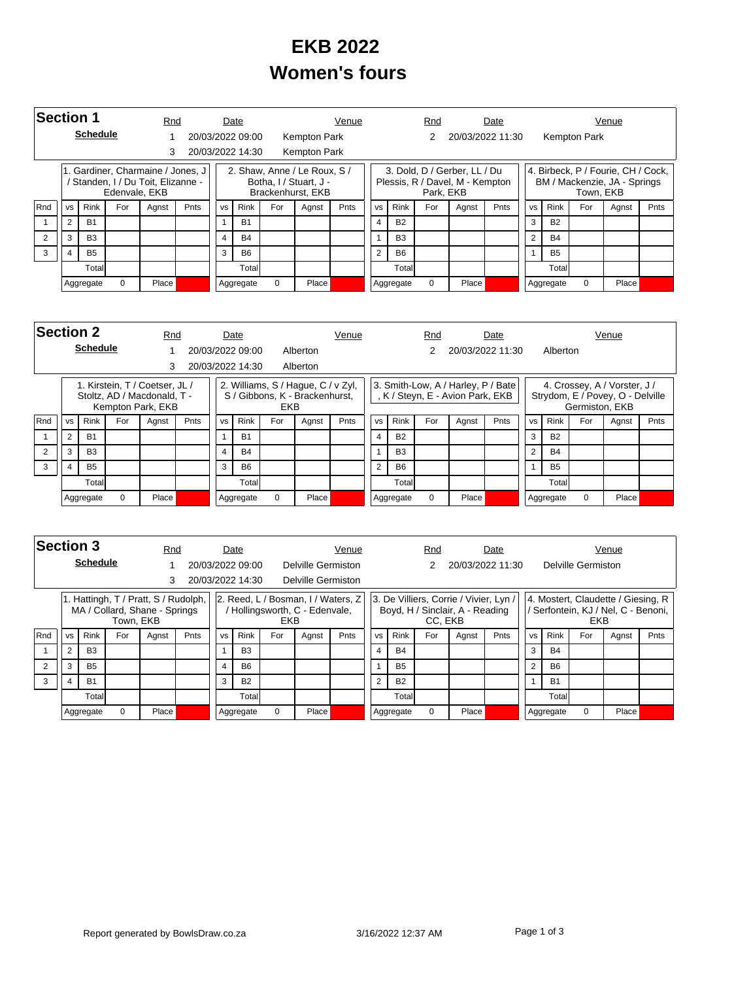## **EKB 2022 Women's fours**

|            | <b>Section 1</b>            |                 |               |                                                                       | Rnd  |           | Date             |                      |                                                                             | Venue          |                |                | Rnd       |                                                                 | Date |                |             |              | Venue                                                              |      |
|------------|-----------------------------|-----------------|---------------|-----------------------------------------------------------------------|------|-----------|------------------|----------------------|-----------------------------------------------------------------------------|----------------|----------------|----------------|-----------|-----------------------------------------------------------------|------|----------------|-------------|--------------|--------------------------------------------------------------------|------|
|            |                             | <b>Schedule</b> |               |                                                                       |      |           | 20/03/2022 09:00 |                      | Kempton Park                                                                |                |                |                |           | 20/03/2022 11:30                                                |      |                |             | Kempton Park |                                                                    |      |
|            | 3                           |                 |               |                                                                       |      |           | 20/03/2022 14:30 |                      | <b>Kempton Park</b>                                                         |                |                |                |           |                                                                 |      |                |             |              |                                                                    |      |
|            |                             |                 | Edenvale, EKB | 1. Gardiner, Charmaine / Jones, J<br>Standen, I / Du Toit, Elizanne - |      |           |                  |                      | 2. Shaw, Anne / Le Roux, S /<br>Botha, I / Stuart, J -<br>Brackenhurst, EKB |                |                |                | Park, EKB | 3. Dold, D / Gerber, LL / Du<br>Plessis, R / Davel, M - Kempton |      |                |             | Town, EKB    | 4. Birbeck, P / Fourie, CH / Cock,<br>BM / Mackenzie, JA - Springs |      |
| <b>Rnd</b> | <b>VS</b>                   | <b>Rink</b>     | For           | Agnst                                                                 | Pnts | <b>VS</b> | Rink             | For<br>Pnts<br>Agnst |                                                                             |                | <b>VS</b>      | <b>Rink</b>    | For       | Agnst                                                           | Pnts | <b>VS</b>      | <b>Rink</b> | For          | Agnst                                                              | Pnts |
|            | 2                           | <b>B1</b>       |               |                                                                       |      |           | <b>B1</b>        |                      |                                                                             |                | $\overline{4}$ | <b>B2</b>      |           |                                                                 |      | 3              | <b>B2</b>   |              |                                                                    |      |
| 2          | 3                           | B <sub>3</sub>  |               |                                                                       |      | 4         | <b>B4</b>        |                      |                                                                             |                | 1              | B <sub>3</sub> |           |                                                                 |      | $\overline{2}$ | <b>B4</b>   |              |                                                                    |      |
| 3          | <b>B5</b><br>$\overline{4}$ |                 |               |                                                                       | 3    | <b>B6</b> |                  |                      |                                                                             | $\overline{2}$ | <b>B6</b>      |                |           |                                                                 | 1    | <b>B5</b>      |             |              |                                                                    |      |
|            |                             | Total           |               |                                                                       |      |           | Totall           |                      |                                                                             |                |                | Totall         |           |                                                                 |      |                | Total       |              |                                                                    |      |
|            | $\Omega$<br>Aggregate       |                 | Place         |                                                                       |      | Aggregate | $\Omega$         | Place                |                                                                             |                | Aggregate      | $\Omega$       | Place     |                                                                 |      | Aggregate      | 0           | Place        |                                                                    |      |

|                | <b>Section 2</b><br><b>Schedule</b> |                |          |                                                                                    | Rnd  |                | Date             |            |                                                                      | Venue |                |                | Rnd      |                                                                        | Date             |           |             |                | Venue                                                            |      |
|----------------|-------------------------------------|----------------|----------|------------------------------------------------------------------------------------|------|----------------|------------------|------------|----------------------------------------------------------------------|-------|----------------|----------------|----------|------------------------------------------------------------------------|------------------|-----------|-------------|----------------|------------------------------------------------------------------|------|
|                |                                     |                |          |                                                                                    |      |                | 20/03/2022 09:00 |            | Alberton                                                             |       |                |                |          |                                                                        | 20/03/2022 11:30 |           | Alberton    |                |                                                                  |      |
|                |                                     |                |          | 3                                                                                  |      |                | 20/03/2022 14:30 |            | Alberton                                                             |       |                |                |          |                                                                        |                  |           |             |                |                                                                  |      |
|                |                                     |                |          | 1. Kirstein, T / Coetser, JL /<br>Stoltz, AD / Macdonald, T -<br>Kempton Park, EKB |      |                |                  | <b>EKB</b> | 2. Williams, S / Hague, C / v Zyl,<br>S / Gibbons, K - Brackenhurst, |       |                |                |          | 3. Smith-Low, A / Harley, P / Bate<br>, K / Steyn, E - Avion Park, EKB |                  |           |             | Germiston, EKB | 4. Crossey, A / Vorster, J /<br>Strydom, E / Povey, O - Delville |      |
| <b>Rnd</b>     | <b>VS</b>                           | <b>Rink</b>    | For      | Agnst                                                                              | Pnts | <b>VS</b>      | <b>Rink</b>      | For        | Agnst                                                                | Pnts  | <b>VS</b>      | Rink           | For      | Agnst                                                                  | Pnts             | <b>VS</b> | <b>Rink</b> | For            | Agnst                                                            | Pnts |
|                | 2                                   | <b>B1</b>      |          |                                                                                    |      |                | <b>B1</b>        |            |                                                                      |       | 4              | <b>B2</b>      |          |                                                                        |                  | 3         | <b>B2</b>   |                |                                                                  |      |
| $\overline{2}$ | 3                                   | B <sub>3</sub> |          |                                                                                    |      | $\overline{4}$ | <b>B4</b>        |            |                                                                      |       |                | <b>B3</b>      |          |                                                                        |                  | C         | <b>B4</b>   |                |                                                                  |      |
| 3              | 4                                   | <b>B5</b>      |          |                                                                                    |      | 3              | <b>B6</b>        |            |                                                                      |       | $\overline{2}$ | B <sub>6</sub> |          |                                                                        |                  |           | <b>B5</b>   |                |                                                                  |      |
|                |                                     | Totall         |          |                                                                                    |      |                | Total            |            |                                                                      |       |                | Total          |          |                                                                        |                  |           | Total       |                |                                                                  |      |
|                |                                     | Aggregate      | $\Omega$ | Place                                                                              |      |                | Aggregate        | $\Omega$   | Place                                                                |       |                | Aggregate      | $\Omega$ | Place                                                                  |                  |           | Aggregate   | $\Omega$       | Place                                                            |      |

|     | <b>Section 3</b> |                 |           |                                                                       | Rnd  |                | Date             |            |                                                                      | Venue         |           |             | Rnd      |                                                                           | Date |                |                |                    | Venue                                                                   |      |
|-----|------------------|-----------------|-----------|-----------------------------------------------------------------------|------|----------------|------------------|------------|----------------------------------------------------------------------|---------------|-----------|-------------|----------|---------------------------------------------------------------------------|------|----------------|----------------|--------------------|-------------------------------------------------------------------------|------|
|     |                  | <b>Schedule</b> |           |                                                                       |      |                | 20/03/2022 09:00 |            | Delville Germiston                                                   |               |           |             |          | 20/03/2022 11:30                                                          |      |                |                | Delville Germiston |                                                                         |      |
|     | 3                |                 |           |                                                                       |      |                | 20/03/2022 14:30 |            | Delville Germiston                                                   |               |           |             |          |                                                                           |      |                |                |                    |                                                                         |      |
|     |                  |                 | Town, EKB | 1. Hattingh, T / Pratt, S / Rudolph,<br>MA / Collard, Shane - Springs |      |                |                  | <b>EKB</b> | 2. Reed, L / Bosman, I / Waters, Z<br>/ Hollingsworth, C - Edenvale, |               |           |             | CC. EKB  | 3. De Villiers, Corrie / Vivier, Lyn /<br>Boyd, H / Sinclair, A - Reading |      |                |                | <b>EKB</b>         | 4. Mostert, Claudette / Giesing, R<br>Serfontein, KJ / Nel, C - Benoni, |      |
| Rnd | <b>VS</b>        | <b>Rink</b>     | For       | Agnst                                                                 | Pnts | <b>VS</b>      | <b>Rink</b>      | For        | Agnst                                                                | Pnts          | <b>VS</b> | <b>Rink</b> | For      | Agnst                                                                     | Pnts | <b>VS</b>      | Rink           | For                | Agnst                                                                   | Pnts |
|     | $\overline{2}$   | B <sub>3</sub>  |           |                                                                       |      |                | <b>B3</b>        |            |                                                                      |               |           | <b>B4</b>   |          |                                                                           |      | 3              | <b>B4</b>      |                    |                                                                         |      |
|     | 3                | <b>B5</b>       |           |                                                                       |      | $\overline{4}$ | <b>B6</b>        |            |                                                                      |               |           | <b>B5</b>   |          |                                                                           |      | $\overline{2}$ | B <sub>6</sub> |                    |                                                                         |      |
| 3   | <b>B1</b><br>4   |                 |           |                                                                       | 3    | <b>B2</b>      |                  |            |                                                                      | $\mathcal{D}$ | <b>B2</b> |             |          |                                                                           |      | <b>B1</b>      |                |                    |                                                                         |      |
|     | Totall           |                 |           |                                                                       |      | Totall         |                  |            |                                                                      |               | Total     |             |          |                                                                           |      | Total          |                |                    |                                                                         |      |
|     |                  | Aggregate       | 0         | Place                                                                 |      |                | Aggregate        | 0          | Place <sup></sup>                                                    |               |           | Aggregate   | $\Omega$ | Place                                                                     |      |                | Aggregate      | $\Omega$           | Place                                                                   |      |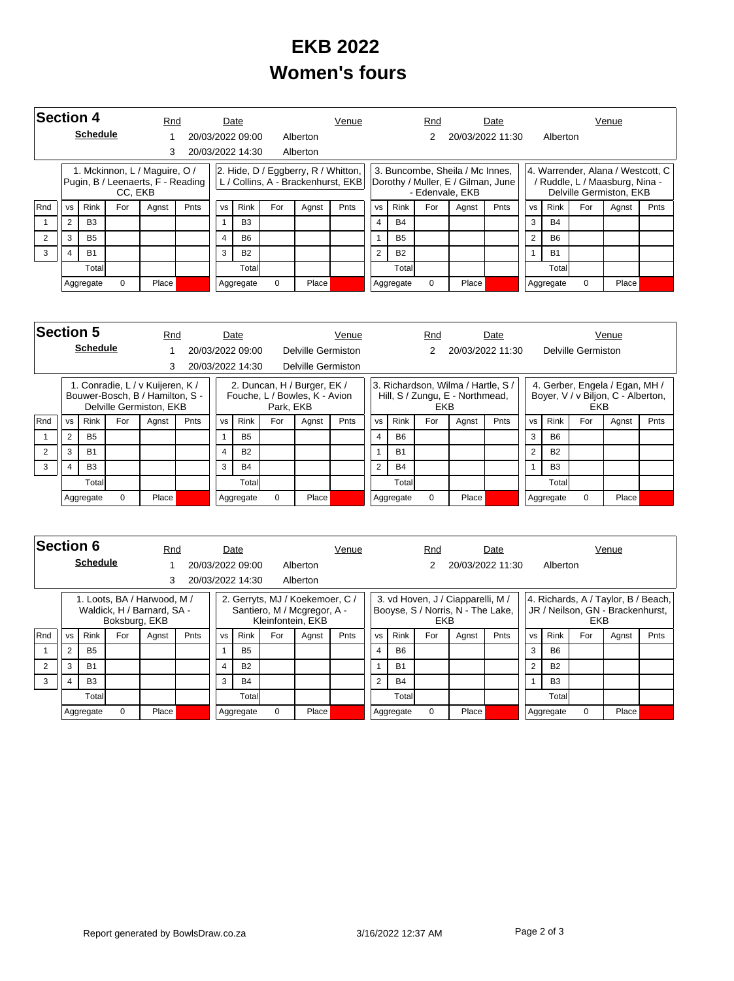## **EKB 2022 Women's fours**

|     | <b>Section 4</b><br><b>Schedule</b> |                |         | Rnd                                                                |             |           | Date             |     |                                     | Venue                              |                |             | Rnd      |                                                                                          | Date |                |           |          | Venue                                                                                            |      |
|-----|-------------------------------------|----------------|---------|--------------------------------------------------------------------|-------------|-----------|------------------|-----|-------------------------------------|------------------------------------|----------------|-------------|----------|------------------------------------------------------------------------------------------|------|----------------|-----------|----------|--------------------------------------------------------------------------------------------------|------|
|     |                                     |                |         |                                                                    |             |           | 20/03/2022 09:00 |     | Alberton                            |                                    |                |             | 2        | 20/03/2022 11:30                                                                         |      |                | Alberton  |          |                                                                                                  |      |
|     |                                     |                |         |                                                                    |             |           | 20/03/2022 14:30 |     | Alberton                            |                                    |                |             |          |                                                                                          |      |                |           |          |                                                                                                  |      |
|     |                                     |                | CC. EKB | 1. Mckinnon, L / Maguire, O /<br>Pugin, B / Leenaerts, F - Reading |             |           |                  |     | 2. Hide, D / Eggberry, R / Whitton, | L / Collins, A - Brackenhurst, EKB |                |             |          | 3. Buncombe, Sheila / Mc Innes,<br>Dorothy / Muller, E / Gilman, June<br>- Edenvale, EKB |      |                |           |          | 4. Warrender, Alana / Westcott, C  <br>/ Ruddle, L / Maasburg, Nina -<br>Delville Germiston, EKB |      |
| Rnd | <b>VS</b>                           | Rink           | For     | Agnst                                                              | <b>Pnts</b> | <b>VS</b> | Rink             | For | Pnts<br>Agnst                       |                                    |                | <b>Rink</b> | For      | Agnst                                                                                    | Pnts | <b>VS</b>      | Rink      | For      | Agnst                                                                                            | Pnts |
|     | $\overline{2}$                      | B <sub>3</sub> |         |                                                                    |             |           | B <sub>3</sub>   |     |                                     |                                    | $\overline{4}$ | <b>B4</b>   |          |                                                                                          |      | 3              | <b>B4</b> |          |                                                                                                  |      |
|     | 3                                   | <b>B5</b>      |         |                                                                    |             |           | <b>B6</b>        |     |                                     |                                    |                | <b>B5</b>   |          |                                                                                          |      | $\overline{2}$ | <b>B6</b> |          |                                                                                                  |      |
| 3   |                                     | <b>B1</b>      |         |                                                                    |             | 3         | <b>B2</b>        |     |                                     |                                    | $\overline{2}$ | <b>B2</b>   |          |                                                                                          |      |                | <b>B1</b> |          |                                                                                                  |      |
|     |                                     | Totall         |         |                                                                    |             |           | Total            |     |                                     |                                    |                | Totall      |          |                                                                                          |      |                | Total     |          |                                                                                                  |      |
|     |                                     | Aggregate      | 0       | Place                                                              |             |           | Aggregate        | 0   | Place                               |                                    |                | Aggregate   | $\Omega$ | Place                                                                                    |      |                | Aggregate | $\Omega$ | Place                                                                                            |      |

|     | <b>Section 5</b> |                 |          | Rnd                                                                                            |           |           | Date             |           |                                                              | Venue          |           |           |           | Rnd        |                                                                       | Date             |           |                |                    | Venue                                                                |      |
|-----|------------------|-----------------|----------|------------------------------------------------------------------------------------------------|-----------|-----------|------------------|-----------|--------------------------------------------------------------|----------------|-----------|-----------|-----------|------------|-----------------------------------------------------------------------|------------------|-----------|----------------|--------------------|----------------------------------------------------------------------|------|
|     |                  | <b>Schedule</b> |          |                                                                                                |           |           | 20/03/2022 09:00 |           | Delville Germiston                                           |                |           |           |           | 2          |                                                                       | 20/03/2022 11:30 |           |                | Delville Germiston |                                                                      |      |
|     | 3                |                 |          |                                                                                                |           |           | 20/03/2022 14:30 |           | Delville Germiston                                           |                |           |           |           |            |                                                                       |                  |           |                |                    |                                                                      |      |
|     |                  |                 |          | 1. Conradie, L / v Kuijeren, K /<br>Bouwer-Bosch, B / Hamilton, S -<br>Delville Germiston, EKB |           |           |                  | Park, EKB | 2. Duncan, H / Burger, EK /<br>Fouche, L / Bowles, K - Avion |                |           |           |           | <b>EKB</b> | 3. Richardson, Wilma / Hartle, S /<br>Hill, S / Zungu, E - Northmead, |                  |           |                | <b>EKB</b>         | 4. Gerber, Engela / Egan, MH /<br>Boyer, V / v Biljon, C - Alberton, |      |
| Rnd | <b>VS</b>        | <b>Rink</b>     | For      | Agnst                                                                                          | Pnts      | <b>VS</b> | <b>Rink</b>      | For       | Pnts<br>Agnst                                                |                |           | <b>VS</b> | Rink      | For        | Agnst                                                                 | Pnts             | <b>VS</b> | <b>Rink</b>    | For                | Agnst                                                                | Pnts |
|     | 2                | <b>B5</b>       |          |                                                                                                |           |           | <b>B5</b>        |           |                                                              |                |           | 4         | <b>B6</b> |            |                                                                       |                  | 3         | B <sub>6</sub> |                    |                                                                      |      |
|     | 3                | <b>B1</b>       |          |                                                                                                |           | 4         | <b>B2</b>        |           |                                                              |                |           |           | <b>B1</b> |            |                                                                       |                  | 2         | <b>B2</b>      |                    |                                                                      |      |
| 3   | <b>B3</b><br>4   |                 |          | 3                                                                                              | <b>B4</b> |           |                  |           |                                                              | $\overline{2}$ | <b>B4</b> |           |           |            |                                                                       | B <sub>3</sub>   |           |                |                    |                                                                      |      |
|     |                  | Totall          |          |                                                                                                |           |           | Total            |           |                                                              |                |           |           | Total     |            |                                                                       |                  |           | Total          |                    |                                                                      |      |
|     |                  | Aggregate       | $\Omega$ | Place                                                                                          |           |           | Aggregate        | 0         | Place                                                        |                |           | Aggregate |           | $\Omega$   | Place                                                                 |                  |           | Aggregate      | $\Omega$           | Place                                                                |      |

|     | Section 6      |                 |               | Rnd                                                       |      |                | Date             |     |                                                                                     | Venue |                |           | Rnd        |                                                                        | Date |                |                |            | Venue                                                                   |      |
|-----|----------------|-----------------|---------------|-----------------------------------------------------------|------|----------------|------------------|-----|-------------------------------------------------------------------------------------|-------|----------------|-----------|------------|------------------------------------------------------------------------|------|----------------|----------------|------------|-------------------------------------------------------------------------|------|
|     |                | <b>Schedule</b> |               |                                                           |      |                | 20/03/2022 09:00 |     | Alberton                                                                            |       |                |           |            | 20/03/2022 11:30                                                       |      |                | Alberton       |            |                                                                         |      |
|     |                |                 |               | 3                                                         |      |                | 20/03/2022 14:30 |     | Alberton                                                                            |       |                |           |            |                                                                        |      |                |                |            |                                                                         |      |
|     |                |                 | Boksburg, EKB | 1. Loots, BA / Harwood, M /<br>Waldick, H / Barnard, SA - |      |                |                  |     | 2. Gerryts, MJ / Koekemoer, C /<br>Santiero, M / Mcgregor, A -<br>Kleinfontein, EKB |       |                |           | <b>EKB</b> | 3. vd Hoven, J / Ciapparelli, M /<br>Booyse, S / Norris, N - The Lake, |      |                |                | <b>EKB</b> | 4. Richards, A / Taylor, B / Beach,<br>JR / Neilson, GN - Brackenhurst, |      |
| Rnd | <b>VS</b>      | <b>Rink</b>     | For           | Agnst                                                     | Pnts | <b>VS</b>      | Rink             | For | Agnst                                                                               | Pnts  | <b>VS</b>      | Rink      | For        | Agnst                                                                  | Pnts | <b>VS</b>      | <b>Rink</b>    | For        | Agnst                                                                   | Pnts |
|     | $\overline{2}$ | B <sub>5</sub>  |               |                                                           |      | 1              | <b>B5</b>        |     |                                                                                     |       | $\overline{4}$ | <b>B6</b> |            |                                                                        |      | 3              | <b>B6</b>      |            |                                                                         |      |
|     | 3              | <b>B1</b>       |               |                                                           |      | $\overline{4}$ | <b>B2</b>        |     |                                                                                     |       |                | <b>B1</b> |            |                                                                        |      | $\overline{2}$ | <b>B2</b>      |            |                                                                         |      |
| 3   | $\overline{4}$ | B <sub>3</sub>  |               |                                                           |      | 3              | <b>B4</b>        |     |                                                                                     |       | $\mathcal{P}$  | <b>B4</b> |            |                                                                        |      |                | B <sub>3</sub> |            |                                                                         |      |
|     | Total          |                 |               |                                                           |      | Total          |                  |     |                                                                                     |       | Total          |           |            |                                                                        |      | Total          |                |            |                                                                         |      |
|     |                | Aggregate       | 0             | Place                                                     |      |                | Aggregate        | 0   | Place                                                                               |       |                | Aggregate | $\Omega$   | Place                                                                  |      |                | Aggregate      | $\Omega$   | Place                                                                   |      |